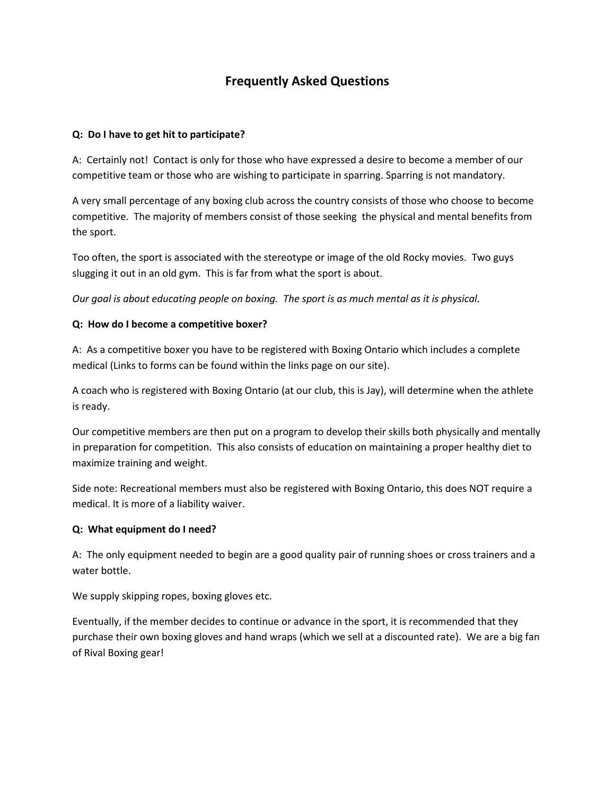# **Frequently Asked Questions**

## **Q: Do I have to get hit to participate?**

A: Certainly not! Contact is only for those who have expressed a desire to become a member of our competitive team or those who are wishing to participate in sparring. Sparring is not mandatory.

A very small percentage of any boxing club across the country consists of those who choose to become competitive. The majority of members consist of those seeking the physical and mental benefits from the sport.

Too often, the sport is associated with the stereotype or image of the old Rocky movies. Two guys slugging it out in an old gym. This is far from what the sport is about.

*Our goal is about educating people on boxing. The sport is as much mental as it is physical.* 

## **Q: How do I become a competitive boxer?**

A: As a competitive boxer you have to be registered with Boxing Ontario which includes a complete medical (Links to forms can be found within the links page on our site).

A coach who is registered with Boxing Ontario (at our club, this is Jay), will determine when the athlete is ready.

Our competitive members are then put on a program to develop their skills both physically and mentally in preparation for competition. This also consists of education on maintaining a proper healthy diet to maximize training and weight.

Side note: Recreational members must also be registered with Boxing Ontario, this does NOT require a medical. It is more of a liability waiver.

#### **Q: What equipment do I need?**

A: The only equipment needed to begin are a good quality pair of running shoes or cross trainers and a water bottle.

We supply skipping ropes, boxing gloves etc.

Eventually, if the member decides to continue or advance in the sport, it is recommended that they purchase their own boxing gloves and hand wraps (which we sell at a discounted rate). We are a big fan of Rival Boxing gear!